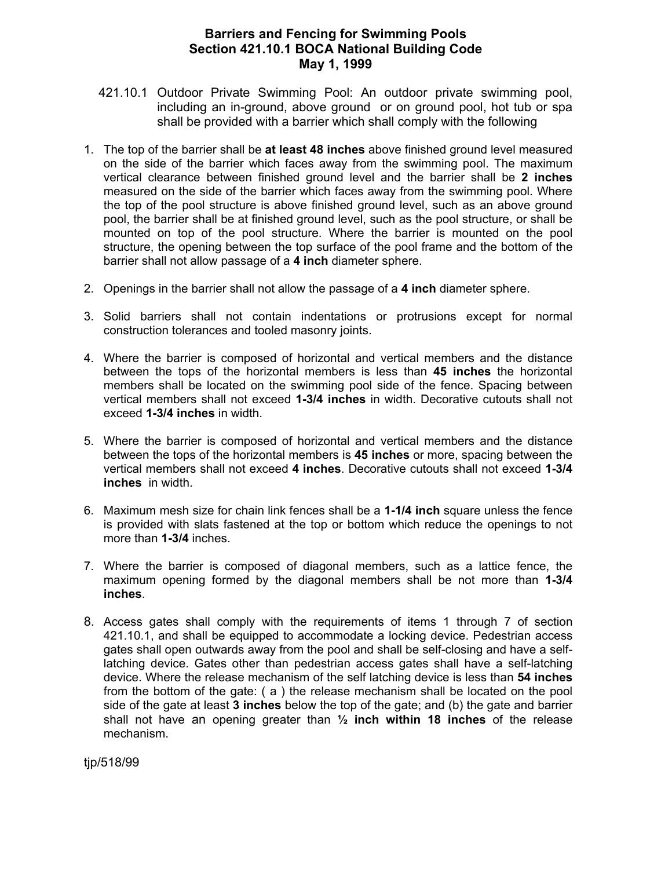## **Barriers and Fencing for Swimming Pools Section 421.10.1 BOCA National Building Code May 1, 1999**

- 421.10.1 Outdoor Private Swimming Pool: An outdoor private swimming pool, including an in-ground, above ground or on ground pool, hot tub or spa shall be provided with a barrier which shall comply with the following
- 1. The top of the barrier shall be **at least 48 inches** above finished ground level measured on the side of the barrier which faces away from the swimming pool. The maximum vertical clearance between finished ground level and the barrier shall be **2 inches**  measured on the side of the barrier which faces away from the swimming pool. Where the top of the pool structure is above finished ground level, such as an above ground pool, the barrier shall be at finished ground level, such as the pool structure, or shall be mounted on top of the pool structure. Where the barrier is mounted on the pool structure, the opening between the top surface of the pool frame and the bottom of the barrier shall not allow passage of a **4 inch** diameter sphere.
- 2. Openings in the barrier shall not allow the passage of a **4 inch** diameter sphere.
- 3. Solid barriers shall not contain indentations or protrusions except for normal construction tolerances and tooled masonry joints.
- 4. Where the barrier is composed of horizontal and vertical members and the distance between the tops of the horizontal members is less than **45 inches** the horizontal members shall be located on the swimming pool side of the fence. Spacing between vertical members shall not exceed **1-3/4 inches** in width. Decorative cutouts shall not exceed **1-3/4 inches** in width.
- 5. Where the barrier is composed of horizontal and vertical members and the distance between the tops of the horizontal members is **45 inches** or more, spacing between the vertical members shall not exceed **4 inches**. Decorative cutouts shall not exceed **1-3/4 inches** in width.
- 6. Maximum mesh size for chain link fences shall be a **1-1/4 inch** square unless the fence is provided with slats fastened at the top or bottom which reduce the openings to not more than **1-3/4** inches.
- 7. Where the barrier is composed of diagonal members, such as a lattice fence, the maximum opening formed by the diagonal members shall be not more than **1-3/4 inches**.
- 8. Access gates shall comply with the requirements of items 1 through 7 of section 421.10.1, and shall be equipped to accommodate a locking device. Pedestrian access gates shall open outwards away from the pool and shall be self-closing and have a selflatching device. Gates other than pedestrian access gates shall have a self-latching device. Where the release mechanism of the self latching device is less than **54 inches** from the bottom of the gate: ( a ) the release mechanism shall be located on the pool side of the gate at least **3 inches** below the top of the gate; and (b) the gate and barrier shall not have an opening greater than **½ inch within 18 inches** of the release mechanism.

tjp/518/99